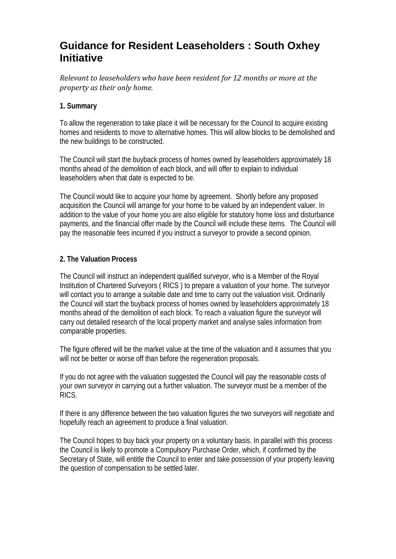# **Guidance for Resident Leaseholders : South Oxhey Initiative**

*R elevant to leaseholders who have been resident for 12 months or more at the p roperty as their only home.*

## **1. Summary**

To allow the regeneration to take place it will be necessary for the Council to acquire existing homes and residents to move to alternative homes. This will allow blocks to be demolished and the new buildings to be constructed.

The Council will start the buyback process of homes owned by leaseholders approximately 18 months ahead of the demolition of each block, and will offer to explain to individual leaseholders when that date is expected to be.

The Council would like to acquire your home by agreement. Shortly before any proposed acquisition the Council will arrange for your home to be valued by an independent valuer. In addition to the value of your home you are also eligible for statutory home loss and disturbance payments, and the financial offer made by the Council will include these items. The Council will pay the reasonable fees incurred if you instruct a surveyor to provide a second opinion.

## **2. The Valuation Process**

The Council will instruct an independent qualified surveyor, who is a Member of the Royal Institution of Chartered Surveyors ( RICS ) to prepare a valuation of your home. The surveyor will contact you to arrange a suitable date and time to carry out the valuation visit. Ordinarily the Council will start the buyback process of homes owned by leaseholders approximately 18 months ahead of the demolition of each block. To reach a valuation figure the surveyor will carry out detailed research of the local property market and analyse sales information from comparable properties.

The figure offered will be the market value at the time of the valuation and it assumes that you will not be better or worse off than before the regeneration proposals.

If you do not agree with the valuation suggested the Council will pay the reasonable costs of your own surveyor in carrying out a further valuation. The surveyor must be a member of the RICS.

If there is any difference between the two valuation figures the two surveyors will negotiate and hopefully reach an agreement to produce a final valuation.

The Council hopes to buy back your property on a voluntary basis. In parallel with this process the Council is likely to promote a Compulsory Purchase Order, which, if confirmed by the Secretary of State, will entitle the Council to enter and take possession of your property leaving the question of compensation to be settled later.